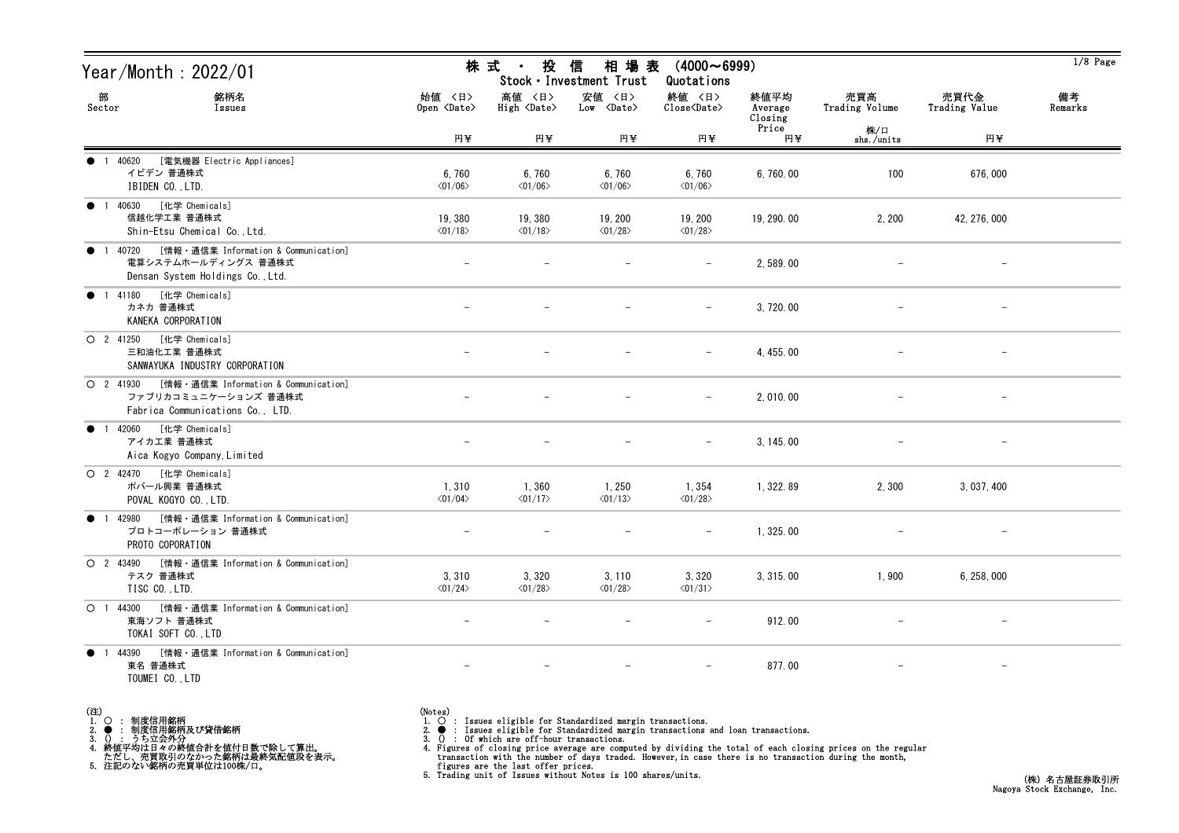| Year/Month : 2022/01                                                                                                 |                                         | 株 式<br>投<br>$\sim 10^{-11}$           | 信<br>相 場 表<br>Stock · Investment Trust | $(4000 \sim 6999)$<br>Quotations                             |                            |                       |                          | $1/8$ Page    |
|----------------------------------------------------------------------------------------------------------------------|-----------------------------------------|---------------------------------------|----------------------------------------|--------------------------------------------------------------|----------------------------|-----------------------|--------------------------|---------------|
| 部<br>銘柄名<br>Sector<br>Issues                                                                                         | 始値 〈日〉<br>Open $\langle$ Date $\rangle$ | 高値 〈日〉<br>$High \langle Date \rangle$ | 安値 〈日〉<br>$Low \langle Date \rangle$   | 終値 〈日〉<br>$\widehat{\text{Close}}\langle \text{Date}\rangle$ | 終値平均<br>Average<br>Closing | 売買高<br>Trading Volume | 売買代金<br>Trading Value    | 備考<br>Remarks |
|                                                                                                                      | 円半                                      | 円半                                    | 円半                                     | 円半                                                           | Price<br>円¥                | 株/口<br>shs./units     | 円半                       |               |
| [電気機器 Electric Appliances]<br>● 1 40620<br>イビデン 普通株式<br>IBIDEN CO., LTD.                                             | 6,760<br>$\langle 01/06 \rangle$        | 6,760<br>$\langle 01/06 \rangle$      | 6,760<br>$\langle 01/06 \rangle$       | 6,760<br>$\langle 01/06 \rangle$                             | 6,760.00                   | 100                   | 676,000                  |               |
| ● 1 40630 [化学 Chemicals]<br>信越化学工業 普通株式<br>Shin-Etsu Chemical Co., Ltd.                                              | 19,380<br>$\langle 01/18 \rangle$       | 19,380<br>$\langle 01/18 \rangle$     | 19, 200<br>$\langle 01/28 \rangle$     | 19, 200<br>$\langle 01/28 \rangle$                           | 19, 290.00                 | 2, 200                | 42, 276, 000             |               |
| [情報・通信業 Information & Communication]<br>$\bullet$ 1 40720<br>電算システムホールディングス 普通株式<br>Densan System Holdings Co., Ltd. |                                         |                                       |                                        |                                                              | 2,589.00                   |                       |                          |               |
| [化学 Chemicals]<br><b>1</b> 41180<br>カネカ 普通株式<br>KANEKA CORPORATION                                                   |                                         |                                       |                                        | $\overline{\phantom{0}}$                                     | 3, 720.00                  |                       | $\overline{\phantom{m}}$ |               |
| O 2 41250 [化学 Chemicals]<br>三和油化工業 普通株式<br>SANWAYUKA INDUSTRY CORPORATION                                            |                                         |                                       |                                        |                                                              | 4, 455, 00                 |                       |                          |               |
| ○ 2 41930 [情報 · 通信業 Information & Communication]<br>ファブリカコミュニケーションズ 普通株式<br>Fabrica Communications Co., LTD.         |                                         |                                       |                                        | $\qquad \qquad -$                                            | 2,010.00                   |                       | $\overline{\phantom{m}}$ |               |
| ● 1 42060 [化学 Chemicals]<br>アイカエ業 普通株式<br>Aica Kogyo Company, Limited                                                |                                         |                                       |                                        |                                                              | 3, 145.00                  |                       |                          |               |
| O 2 42470 [化学 Chemicals]<br>ポバール興業 普通株式<br>POVAL KOGYO CO., LTD.                                                     | 1,310<br>$\langle 01/04 \rangle$        | 1,360<br>$\langle 01/17 \rangle$      | 1, 250<br>$\langle 01/13 \rangle$      | 1,354<br>$\langle 01/28 \rangle$                             | 1, 322.89                  | 2,300                 | 3, 037, 400              |               |
| ● 1 42980 [情報 · 通信業 Information & Communication]<br>プロトコーポレーション 普通株式<br>PROTO COPORATION                             |                                         |                                       |                                        |                                                              | 1,325.00                   |                       |                          |               |
| ○ 2 43490 [情報 · 通信業 Information & Communication]<br>テスク 普通株式<br>TISC CO., LTD.                                       | 3,310<br>$\langle 01/24 \rangle$        | 3,320<br>$\langle 01/28 \rangle$      | 3, 110<br>$\langle 01/28 \rangle$      | 3,320<br>$\langle 01/31 \rangle$                             | 3, 315, 00                 | 1,900                 | 6, 258, 000              |               |
| ○ 1 44300 [情報 · 通信業 Information & Communication]<br>東海ソフト 普通株式<br>TOKAI SOFT CO., LTD                                |                                         |                                       |                                        | $\overline{\phantom{0}}$                                     | 912.00                     |                       | $\qquad \qquad -$        |               |
| ● 1 44390 [情報 · 通信業 Information & Communication]<br>東名 普通株式<br>TOUMEI CO., LTD                                       | $\overline{\phantom{m}}$                |                                       | $\overline{\phantom{m}}$               | $-$                                                          | 877.00                     | $\qquad \qquad -$     | $-$                      |               |

(注)<br>1. ○<br>2. ●<br>3. ① 1. ○ : 制度信用銘柄

2. ● : 制度信用銘柄及び貸借銘柄<br>3. () : うち立会外分<br>4. 終値平均は日々の終値合計を値付日数で除して算出。<br>ただし、売買取引のなかった銘柄は最終気配値段を表示。<br>5. 注記のない銘柄の売買単位は100株/口。

(Notes)<br>1. ○ : Issues eligible for Standardized margin transactions.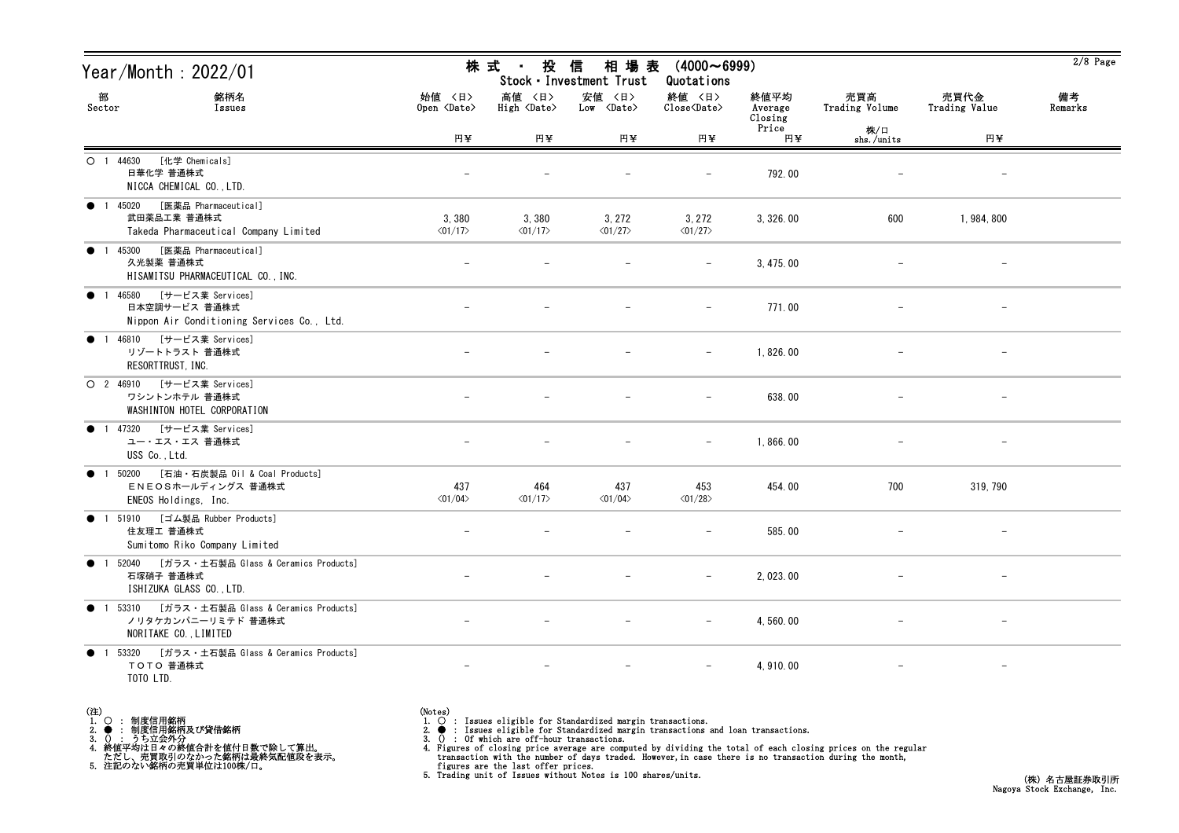| Year/Month : 2022/01                                                                                |                                  | 株 式<br>投<br>$\sim 10^{-11}$           | 信<br>相 場 表<br>Stock · Investment Trust | $(4000 \sim 6999)$<br>Quotations                             |                            |                       |                          | $2/8$ Page    |
|-----------------------------------------------------------------------------------------------------|----------------------------------|---------------------------------------|----------------------------------------|--------------------------------------------------------------|----------------------------|-----------------------|--------------------------|---------------|
| 部<br>銘柄名<br>Sector<br>Issues                                                                        | 始値 〈日〉<br>Open <date></date>     | 高値 〈日〉<br>$High \langle Date \rangle$ | 安値 〈日〉<br>$Low \ \langle Date \rangle$ | 終値 〈日〉<br>$\widehat{\text{Close}}\langle \text{Date}\rangle$ | 終値平均<br>Average<br>Closing | 売買高<br>Trading Volume | 売買代金<br>Trading Value    | 備考<br>Remarks |
|                                                                                                     | 円半                               | 円半                                    | 円半                                     | 円半                                                           | Price<br>円半                | 株/口<br>shs./units     | 円半                       |               |
| [化学 Chemicals]<br>O 1 44630<br>日華化学 普通株式<br>NICCA CHEMICAL CO., LTD.                                |                                  |                                       |                                        |                                                              | 792.00                     |                       |                          |               |
| [医薬品 Pharmaceutical]<br><b>1</b> 45020<br>武田薬品工業 普通株式<br>Takeda Pharmaceutical Company Limited      | 3,380<br>$\langle 01/17 \rangle$ | 3,380<br>$\langle 01/17 \rangle$      | 3, 272<br>$\langle 01/27 \rangle$      | 3,272<br>$\langle 01/27 \rangle$                             | 3, 326.00                  | 600                   | 1, 984, 800              |               |
| [医薬品 Pharmaceutical]<br>$\bullet$ 1 45300<br>久光製薬 普通株式<br>HISAMITSU PHARMACEUTICAL CO., INC.        |                                  |                                       |                                        |                                                              | 3, 475.00                  |                       |                          |               |
| [サービス業 Services]<br>● 1 46580<br>日本空調サービス 普通株式<br>Nippon Air Conditioning Services Co., Ltd.        |                                  |                                       |                                        | $\overline{\phantom{m}}$                                     | 771.00                     |                       |                          |               |
| ● 1 46810 [サービス業 Services]<br>リゾートトラスト 普通株式<br>RESORTTRUST, INC.                                    |                                  |                                       |                                        |                                                              | 1,826.00                   |                       |                          |               |
| O 2 46910 [サービス業 Services]<br>ワシントンホテル 普通株式<br>WASHINTON HOTEL CORPORATION                          |                                  |                                       |                                        | $\overline{\phantom{m}}$                                     | 638.00                     |                       | $\overline{\phantom{m}}$ |               |
| ● 1 47320 [サービス業 Services]<br>ユー・エス・エス 普通株式<br>USS Co., Ltd.                                        |                                  |                                       |                                        |                                                              | 1,866.00                   |                       |                          |               |
| [石油・石炭製品 Oil & Coal Products]<br>50200<br>$\bullet$ 1<br>ENEOSホールディングス 普通株式<br>ENEOS Holdings, Inc. | 437<br>$\langle 01/04 \rangle$   | 464<br>$\langle 01/17 \rangle$        | 437<br>$\langle 01/04 \rangle$         | 453<br>$\langle 01/28 \rangle$                               | 454.00                     | 700                   | 319, 790                 |               |
| ● 1 51910 [ゴム製品 Rubber Products]<br>住友理工 普通株式<br>Sumitomo Riko Company Limited                      |                                  |                                       |                                        |                                                              | 585.00                     |                       |                          |               |
| ● 1 52040 [ガラス・土石製品 Glass & Ceramics Products]<br>石塚硝子 普通株式<br>ISHIZUKA GLASS CO., LTD.             |                                  |                                       |                                        |                                                              | 2, 023.00                  |                       |                          |               |
| ● 1 53310 [ガラス・土石製品 Glass & Ceramics Products]<br>ノリタケカンパニーリミテド 普通株式<br>NORITAKE CO., LIMITED       |                                  |                                       |                                        |                                                              | 4,560.00                   |                       |                          |               |
| ● 1 53320 [ガラス・土石製品 Glass & Ceramics Products]<br>TOTO 普通株式<br>TOTO LTD.                            |                                  |                                       |                                        |                                                              | 4, 910.00                  |                       | $\overline{\phantom{m}}$ |               |

| (注) |                     |
|-----|---------------------|
|     | 1. 〇 : 制度信用銘柄       |
|     | 2. ● : 制度信用銘柄及び貸借銘柄 |
|     |                     |

2. ● : 制度信用銘柄及び貸借銘柄<br>3. () : うち立会外分<br>4. 終値平均は日々の終値合計を値付日数で除して算出。<br>ただし、売買取引のなかった銘柄は最終気配値段を表示。<br>5. 注記のない銘柄の売買単位は100株/口。

(Notes)<br>1. ○ : Issues eligible for Standardized margin transactions.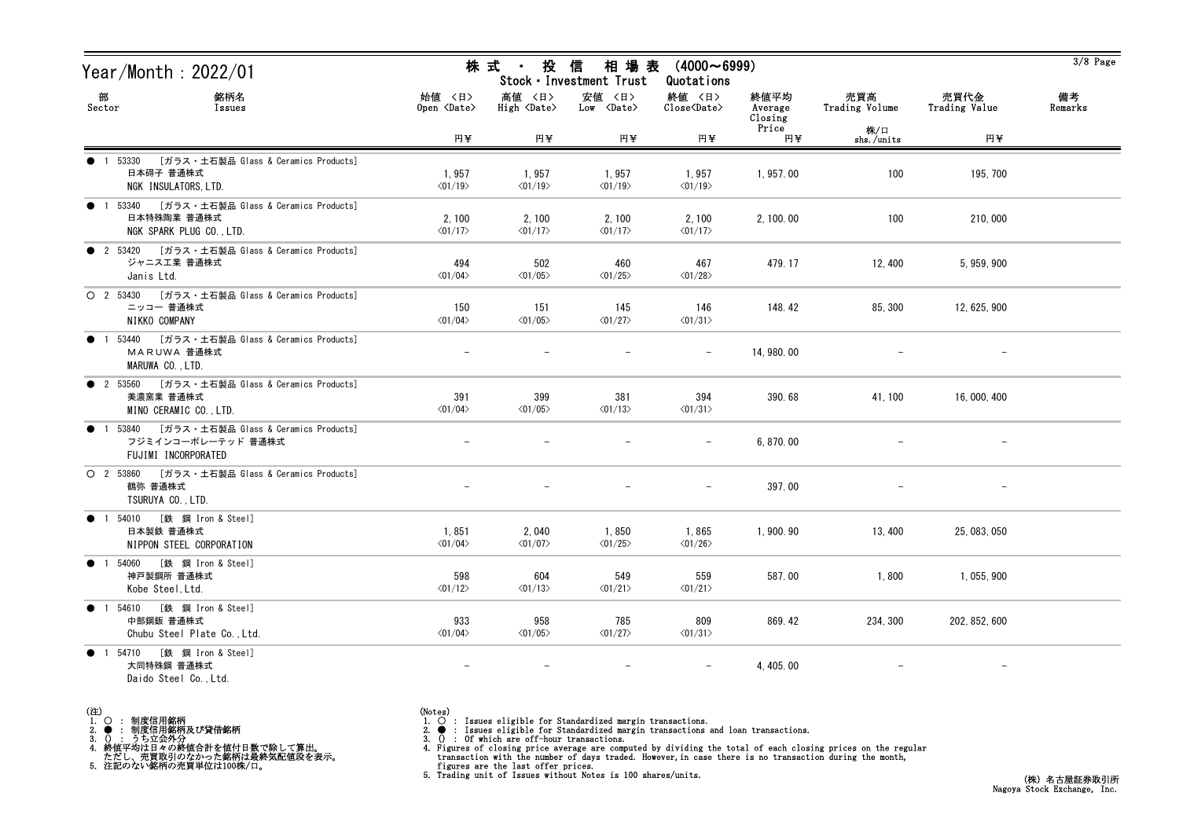| Year/Month : 2022/01                                                                                         |                                  | 株 式<br>投<br>$\sim$ 10 $\,$       | 信<br>相 場 表<br>Stock · Investment Trust | $(4000 \sim 6999)$<br>Quotations |                            |                          |                       | $3/8$ Page    |
|--------------------------------------------------------------------------------------------------------------|----------------------------------|----------------------------------|----------------------------------------|----------------------------------|----------------------------|--------------------------|-----------------------|---------------|
| 部<br>銘柄名<br>Sector<br>Issues                                                                                 | 始值 〈日〉<br>Open <date></date>     | 高値 〈日〉<br>High <date></date>     | 安値 〈日〉<br>Low <date></date>            | 終値 〈日〉<br>Close <date></date>    | 終値平均<br>Average<br>Closing | 売買高<br>Trading Volume    | 売買代金<br>Trading Value | 備考<br>Remarks |
|                                                                                                              | 円半                               | 円半                               | 円半                                     | 円半                               | Price<br>円半                | 株/口<br>shs./units        | 円¥                    |               |
| [ガラス・土石製品 Glass & Ceramics Products]<br>$\bullet$ 1 53330<br>日本碍子 普通株式<br>NGK INSULATORS, LTD.               | 1,957<br>$\langle 01/19 \rangle$ | 1,957<br>$\langle 01/19 \rangle$ | 1,957<br>$\langle 01/19 \rangle$       | 1,957<br>$\langle 01/19 \rangle$ | 1,957.00                   | 100                      | 195, 700              |               |
| ● 1 53340 [ガラス・土石製品 Glass & Ceramics Products]<br>日本特殊陶業 普通株式<br>NGK SPARK PLUG CO., LTD.                    | 2,100<br>$\langle 01/17 \rangle$ | 2,100<br>$\langle 01/17 \rangle$ | 2,100<br>$\langle 01/17 \rangle$       | 2,100<br>$\langle 01/17 \rangle$ | 2, 100.00                  | 100                      | 210,000               |               |
| ● 2 53420 [ガラス・土石製品 Glass & Ceramics Products]<br>ジャニス工業 普通株式<br>Janis Ltd.                                  | 494<br>$\langle 01/04 \rangle$   | 502<br>$\langle 01/05 \rangle$   | 460<br>$\langle 01/25 \rangle$         | 467<br>$\langle 01/28 \rangle$   | 479.17                     | 12, 400                  | 5, 959, 900           |               |
| ○ 2 53430 [ガラス・土石製品 Glass & Ceramics Products]<br>ニッコー 普通株式<br>NIKKO COMPANY                                 | 150<br>$\langle 01/04 \rangle$   | 151<br>$\langle 01/05 \rangle$   | 145<br>$\langle 01/27 \rangle$         | 146<br>$\langle 01/31 \rangle$   | 148.42                     | 85, 300                  | 12, 625, 900          |               |
| 53440 [ガラス・土石製品 Glass & Ceramics Products]<br>$\bullet$<br>$\overline{1}$<br>MARUWA 普通株式<br>MARUWA CO., LTD. |                                  |                                  |                                        |                                  | 14, 980.00                 |                          |                       |               |
| ● 2 53560 [ガラス・土石製品 Glass & Ceramics Products]<br>美濃窯業 普通株式<br>MINO CERAMIC CO., LTD.                        | 391<br>$\langle 01/04 \rangle$   | 399<br>$\langle 01/05 \rangle$   | 381<br>$\langle 01/13 \rangle$         | 394<br>$\langle 01/31 \rangle$   | 390.68                     | 41, 100                  | 16, 000, 400          |               |
| 1 53840 [ガラス・土石製品 Glass & Ceramics Products]<br>$\bullet$<br>フジミインコーポレーテッド 普通株式<br>FUJIMI INCORPORATED       |                                  |                                  |                                        |                                  | 6, 870.00                  |                          |                       |               |
| ○ 2 53860 [ガラス・土石製品 Glass & Ceramics Products]<br>鶴弥 普通株式<br>TSURUYA CO., LTD.                               |                                  |                                  |                                        | $\overline{\phantom{m}}$         | 397.00                     |                          |                       |               |
| 1 54010 [鉄 鋼 Iron & Steel]<br>$\bullet$<br>日本製鉄 普通株式<br>NIPPON STEEL CORPORATION                             | 1,851<br>$\langle 01/04 \rangle$ | 2,040<br>$\langle 01/07 \rangle$ | 1,850<br>$\langle 01/25 \rangle$       | 1,865<br>$\langle 01/26 \rangle$ | 1,900.90                   | 13, 400                  | 25, 083, 050          |               |
| ● 1 54060 [鉄 鋼 Iron & Steel]<br>神戸製鋼所 普通株式<br>Kobe Steel, Ltd.                                               | 598<br>$\langle 01/12 \rangle$   | 604<br>$\langle 01/13 \rangle$   | 549<br>$\langle 01/21 \rangle$         | 559<br>$\langle 01/21 \rangle$   | 587.00                     | 1,800                    | 1, 055, 900           |               |
| ● 1 54610 [鉄 鋼 Iron & Steel]<br>中部鋼鈑 普通株式<br>Chubu Steel Plate Co., Ltd.                                     | 933<br>$\langle 01/04 \rangle$   | 958<br>$\langle 01/05 \rangle$   | 785<br>$\langle 01/27 \rangle$         | 809<br>$\langle 01/31 \rangle$   | 869.42                     | 234, 300                 | 202, 852, 600         |               |
| ● 1 54710 [鉄 鋼 Iron & Steel]<br>大同特殊鋼 普通株式<br>Daido Steel Co., Ltd.                                          | $\overline{\phantom{m}}$         | $\overline{\phantom{m}}$         | $\overline{\phantom{m}}$               | $\overline{\phantom{m}}$         | 4, 405.00                  | $\overline{\phantom{m}}$ | $-$                   |               |

- (注)<br>1. ○<br>2. ●<br>3. ① 1. ○ : 制度信用銘柄
- 
- 2. : 制度信用銘柄及び貸借銘柄<br>3. () : うち立会外分<br>4. 終値平均は日々の終値合計を値付日数で除して算出。<br>ただし、売買取引のなかった銘柄は最終気配値段を表示。<br>5. 注記のない銘柄の売買単位は100株/口。

(Notes)<br>1. ○ : Issues eligible for Standardized margin transactions.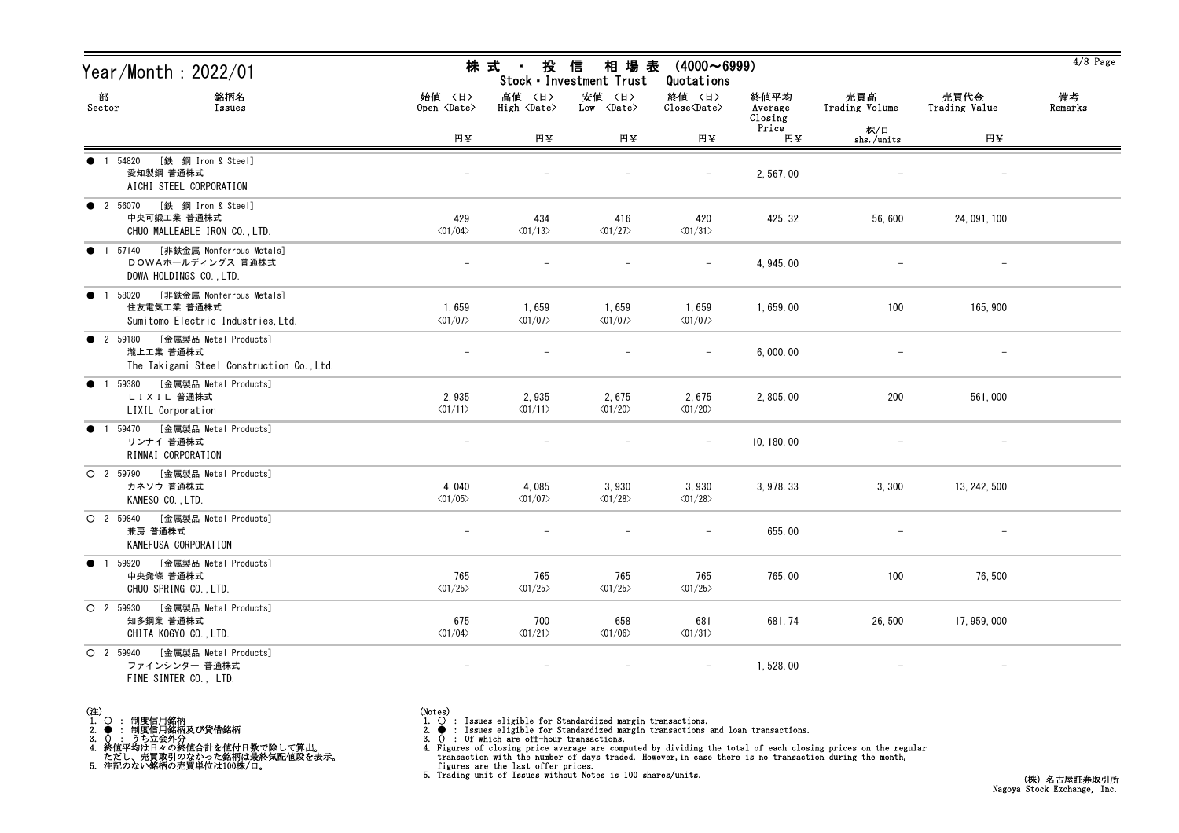| Year/Month : 2022/01                                                                       |                                  | 株 式<br>投<br>$\sim 10$            | 信<br>相 場 表<br>Stock · Investment Trust | $(4000 \sim 6999)$<br>Quotations |                            |                       |                          | $4/8$ Page    |
|--------------------------------------------------------------------------------------------|----------------------------------|----------------------------------|----------------------------------------|----------------------------------|----------------------------|-----------------------|--------------------------|---------------|
| 部<br>銘柄名<br>Sector<br>Issues                                                               | 始値 〈日〉<br>Open <date></date>     | 高値 〈日〉<br>High <date></date>     | 安値 〈日〉<br>$Low \ \langle Date \rangle$ | 終値 〈日〉<br>Close <date></date>    | 終値平均<br>Average<br>Closing | 売買高<br>Trading Volume | 売買代金<br>Trading Value    | 備考<br>Remarks |
|                                                                                            | 円半                               | 円¥                               | 円半                                     | 円半                               | Price<br>円半                | 株/口<br>shs./units     | 円半                       |               |
| [鉄 鋼 Iron & Steel]<br>● 1 54820<br>愛知製鋼 普通株式<br>AICHI STEEL CORPORATION                    |                                  |                                  |                                        |                                  | 2,567.00                   |                       |                          |               |
| ● 2 56070 [鉄 鋼 Iron & Steel]<br>中央可鍛工業 普通株式<br>CHUO MALLEABLE IRON CO., LTD.               | 429<br>$\langle 01/04 \rangle$   | 434<br>$\langle 01/13 \rangle$   | 416<br>$\langle 01/27 \rangle$         | 420<br>$\langle 01/31 \rangle$   | 425.32                     | 56,600                | 24, 091, 100             |               |
| ● 1 57140 [非鉄金属 Nonferrous Metals]<br>DOWAホールディングス 普通株式<br>DOWA HOLDINGS CO., LTD.         |                                  |                                  |                                        |                                  | 4, 945, 00                 |                       |                          |               |
| [非鉄金属 Nonferrous Metals]<br>• 1 58020<br>住友電気工業 普通株式<br>Sumitomo Electric Industries, Ltd. | 1,659<br>$\langle 01/07 \rangle$ | 1,659<br>$\langle 01/07 \rangle$ | 1,659<br>$\langle 01/07 \rangle$       | 1,659<br>$\langle 01/07 \rangle$ | 1,659.00                   | 100                   | 165, 900                 |               |
| ● 2 59180 [金属製品 Metal Products]<br>瀧上工業 普通株式<br>The Takigami Steel Construction Co., Ltd.  |                                  |                                  |                                        |                                  | 6,000.00                   |                       |                          |               |
| ● 1 59380<br>[金属製品 Metal Products]<br>LIXIL 普通株式<br>LIXIL Corporation                      | 2,935<br>$\langle 01/11 \rangle$ | 2,935<br>$\langle 01/11 \rangle$ | 2,675<br>$\langle 01/20 \rangle$       | 2,675<br>$\langle 01/20 \rangle$ | 2, 805.00                  | 200                   | 561,000                  |               |
| [金属製品 Metal Products]<br>● 1 59470<br>リンナイ 普通株式<br>RINNAI CORPORATION                      |                                  |                                  |                                        |                                  | 10, 180. 00                |                       |                          |               |
| [金属製品 Metal Products]<br>O 2 59790<br>カネソウ 普通株式<br>KANESO CO., LTD.                        | 4,040<br>$\langle 01/05 \rangle$ | 4,085<br>$\langle 01/07 \rangle$ | 3,930<br>$\langle 01/28 \rangle$       | 3,930<br>$\langle 01/28 \rangle$ | 3, 978. 33                 | 3,300                 | 13, 242, 500             |               |
| [金属製品 Metal Products]<br>O 2 59840<br>兼房 普通株式<br>KANEFUSA CORPORATION                      |                                  |                                  |                                        |                                  | 655.00                     |                       | $\overline{\phantom{m}}$ |               |
| ● 1 59920 [金属製品 Metal Products]<br>中央発條 普通株式<br>CHUO SPRING CO., LTD.                      | 765<br>$\langle 01/25 \rangle$   | 765<br>$\langle 01/25 \rangle$   | 765<br>$\langle 01/25 \rangle$         | 765<br>$\langle 01/25 \rangle$   | 765.00                     | 100                   | 76,500                   |               |
| [金属製品 Metal Products]<br>$O$ 2 59930<br>知多鋼業 普通株式<br>CHITA KOGYO CO., LTD.                 | 675<br>$\langle 01/04 \rangle$   | 700<br>$\langle 01/21 \rangle$   | 658<br>$\langle 01/06 \rangle$         | 681<br>$\langle 01/31 \rangle$   | 681.74                     | 26,500                | 17, 959, 000             |               |
| O 2 59940 [金属製品 Metal Products]<br>ファインシンター 普通株式<br>FINE SINTER CO., LTD.                  |                                  | $\overline{\phantom{m}}$         | $\overline{\phantom{m}}$               |                                  | 1,528.00                   |                       | $\overline{\phantom{a}}$ |               |

- (注)<br>1. ○<br>2. ●<br>3. ① 1. ○ : 制度信用銘柄
- 
- 

2. ● : 制度信用銘柄及び貸借銘柄<br>3. () : うち立会外分<br>4. 終値平均は日々の終値合計を値付日数で除して算出。<br>ただし、売買取引のなかった銘柄は最終気配値段を表示。<br>5. 注記のない銘柄の売買単位は100株/口。

- 
- (Notes)<br>1. : Issues eligible for Standardized margin transactions.
-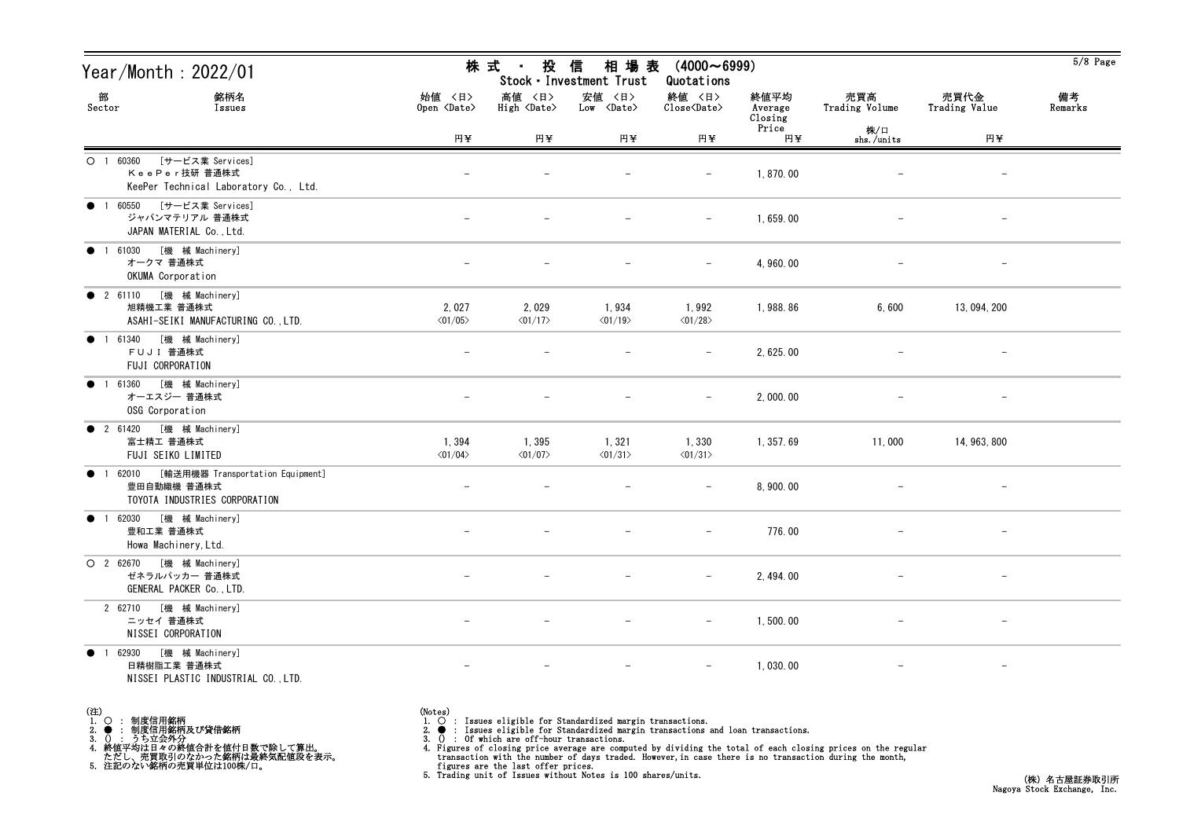| Year/Month : 2022/01                                                                       |                                  | 株 式<br>投<br>$\sim 10^{-11}$      | 信<br>相 場 表<br>Stock · Investment Trust | $(4000 \sim 6999)$<br>Quotations                   |                            |                          |                          | $5/8$ Page    |
|--------------------------------------------------------------------------------------------|----------------------------------|----------------------------------|----------------------------------------|----------------------------------------------------|----------------------------|--------------------------|--------------------------|---------------|
| 部<br>銘柄名<br>Sector<br>Issues                                                               | 始值 〈日〉<br>Open <date></date>     | 高値 〈日〉<br>High <date></date>     | 安値 〈日〉<br>$Low \langle Date \rangle$   | 終値 〈日〉<br>$\text{Close}\langle \text{Date}\rangle$ | 終値平均<br>Average<br>Closing | 売買高<br>Trading Volume    | 売買代金<br>Trading Value    | 備考<br>Remarks |
|                                                                                            | 円半                               | 円半                               | 円半                                     | 円半                                                 | Price<br>円半                | 株/口<br>$shs$ ./units     | 円半                       |               |
| O 1 60360 [サービス業 Services]<br>KeePer技研普通株式<br>KeePer Technical Laboratory Co., Ltd.        |                                  |                                  |                                        |                                                    | 1,870.00                   |                          |                          |               |
| ● 1 60550 [サービス業 Services]<br>ジャパンマテリアル 普通株式<br>JAPAN MATERIAL Co., Ltd.                   |                                  |                                  |                                        | $\overline{\phantom{m}}$                           | 1,659.00                   |                          | $\qquad \qquad -$        |               |
| ● 1 61030 [機 械 Machinery]<br>オークマ 普通株式<br>OKUMA Corporation                                |                                  |                                  |                                        |                                                    | 4, 960.00                  |                          |                          |               |
| ● 2 61110 [機 械 Machinery]<br>旭精機工業 普通株式<br>ASAHI-SEIKI MANUFACTURING CO., LTD.             | 2,027<br>$\langle 01/05 \rangle$ | 2,029<br>$\langle 01/17 \rangle$ | 1,934<br>$\langle 01/19 \rangle$       | 1,992<br>$\langle 01/28 \rangle$                   | 1,988.86                   | 6,600                    | 13, 094, 200             |               |
| ● 1 61340 [機 械 Machinery]<br>FUJI 普通株式<br>FUJI CORPORATION                                 |                                  |                                  |                                        |                                                    | 2, 625.00                  |                          |                          |               |
| 1 61360 [機 械 Machinery]<br>$\bullet$<br>オーエスジー 普通株式<br>OSG Corporation                     |                                  |                                  |                                        |                                                    | 2,000.00                   |                          |                          |               |
| ● 2 61420 [機 械 Machinery]<br>富士精工 普通株式<br>FUJI SEIKO LIMITED                               | 1,394<br>$\langle 01/04 \rangle$ | 1,395<br>$\langle 01/07 \rangle$ | 1,321<br>$\langle 01/31 \rangle$       | 1,330<br>$\langle 01/31 \rangle$                   | 1, 357.69                  | 11,000                   | 14, 963, 800             |               |
| ● 1 62010 [輸送用機器 Transportation Equipment]<br>豊田自動織機 普通株式<br>TOYOTA INDUSTRIES CORPORATION |                                  |                                  |                                        |                                                    | 8,900.00                   |                          |                          |               |
| ● 1 62030 [機 械 Machinery]<br>豊和工業 普通株式<br>Howa Machinery, Ltd.                             |                                  |                                  |                                        | $\qquad \qquad -$                                  | 776.00                     | $\overline{\phantom{0}}$ | $\overline{\phantom{0}}$ |               |
| O 2 62670 [機 械 Machinery]<br>ゼネラルパッカー 普通株式<br>GENERAL PACKER Co., LTD.                     |                                  |                                  |                                        | $-$                                                | 2, 494.00                  |                          |                          |               |
| 2 62710 [機 械 Machinery]<br>ニッセイ 普通株式<br>NISSEI CORPORATION                                 |                                  |                                  |                                        | $-$                                                | 1,500.00                   |                          | $\qquad \qquad -$        |               |
| ● 1 62930 [機 械 Machinery]<br>日精樹脂工業 普通株式<br>NISSEI PLASTIC INDUSTRIAL CO., LTD.            |                                  |                                  |                                        |                                                    | 1,030.00                   |                          | $\qquad \qquad -$        |               |

(注)<br>1. ○<br>2. ●<br>3. ① 1. ○ : 制度信用銘柄 2. ● : 制度信用銘柄及び貸借銘柄<br>3. () : うち立会外分<br>4. 終値平均は日々の終値合計を値付日数で除して算出。<br>ただし、売買取引のなかった銘柄は最終気配値段を表示。<br>5. 注記のない銘柄の売買単位は100株/口。

(Notes)<br>1. ○ : Issues eligible for Standardized margin transactions.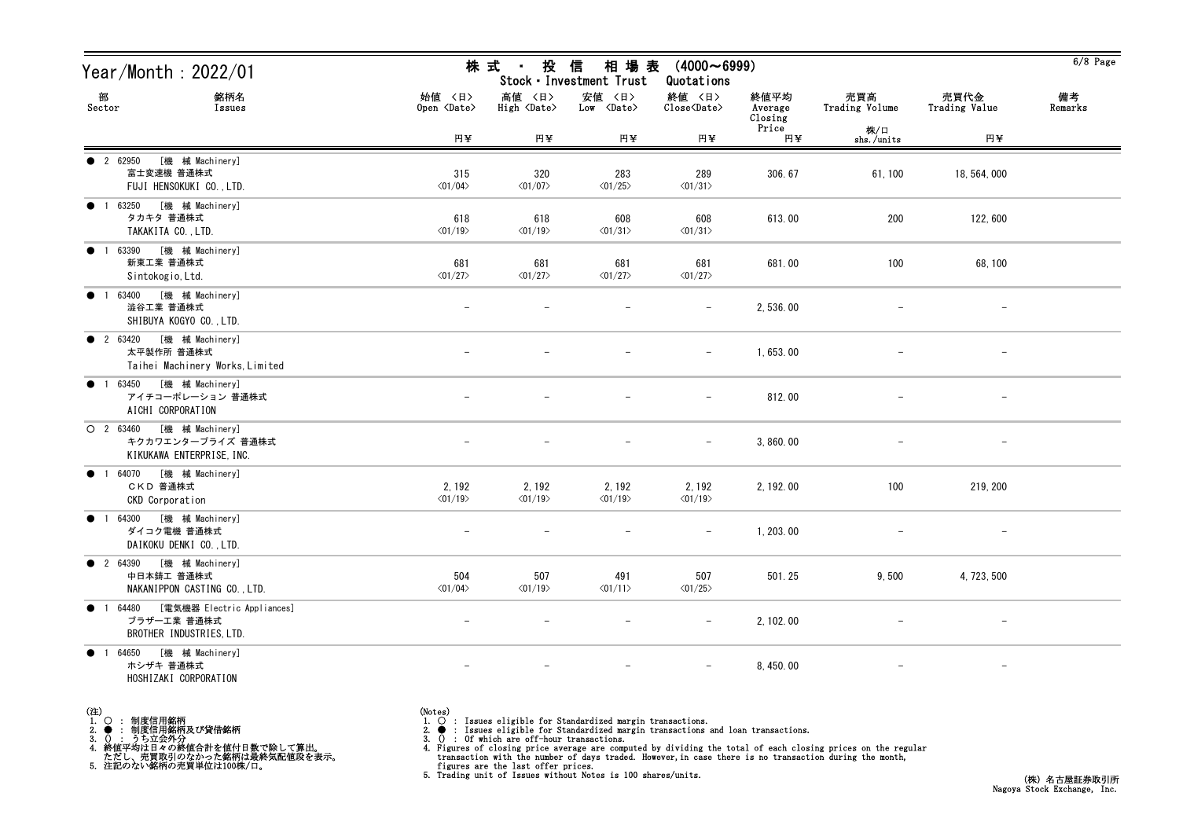| Year/Month : 2022/01                                                                       |                                   | 株 式 ・<br>投                            | 信<br>相 場 表<br>Stock · Investment Trust | $(4000 \sim 6999)$<br>Quotations                   |                            |                          |                       | $6/8$ Page    |
|--------------------------------------------------------------------------------------------|-----------------------------------|---------------------------------------|----------------------------------------|----------------------------------------------------|----------------------------|--------------------------|-----------------------|---------------|
| 部<br>銘柄名<br>Sector<br>Issues                                                               | 始値 〈日〉<br>Open <date></date>      | 高値 〈日〉<br>$High \langle Date \rangle$ | 安値 〈日〉<br>$Low \over \text{Date}$      | 終値 〈日〉<br>$\text{Close}\langle \text{Date}\rangle$ | 終値平均<br>Average<br>Closing | 売買高<br>Trading Volume    | 売買代金<br>Trading Value | 備考<br>Remarks |
|                                                                                            | 円¥                                | 円半                                    | 円半                                     | 円半                                                 | Price<br>円半                | 株/口<br>shs./units        | 円¥                    |               |
| [機 械 Machinery]<br>• 2 62950<br>富士変速機 普通株式<br>FUJI HENSOKUKI CO., LTD.                     | 315<br>$\langle 01/04 \rangle$    | 320<br>$\langle 01/07 \rangle$        | 283<br>$\langle 01/25 \rangle$         | 289<br>$\langle 01/31 \rangle$                     | 306.67                     | 61, 100                  | 18, 564, 000          |               |
| ● 1 63250 [機 械 Machinery]<br>タカキタ 普通株式<br>TAKAKITA CO., LTD.                               | 618<br>$\langle 01/19 \rangle$    | 618<br>$\langle 01/19 \rangle$        | 608<br>$\langle 01/31 \rangle$         | 608<br>$\langle 01/31 \rangle$                     | 613.00                     | 200                      | 122,600               |               |
| [機 械 Machinery]<br>$\bullet$ 1 63390<br>新東工業 普通株式<br>Sintokogio, Ltd.                      | 681<br>$\langle 01/27 \rangle$    | 681<br>$\langle 01/27 \rangle$        | 681<br>$\langle 01/27 \rangle$         | 681<br>$\langle 01/27 \rangle$                     | 681.00                     | 100                      | 68, 100               |               |
| [機 械 Machinery]<br>$\bullet$ 1 63400<br>澁谷工業 普通株式<br>SHIBUYA KOGYO CO., LTD.               | $\qquad \qquad -$                 |                                       | $\qquad \qquad -$                      | $\overline{\phantom{0}}$                           | 2,536.00                   |                          | $\qquad \qquad -$     |               |
| ● 2 63420 [機 械 Machinery]<br>太平製作所 普通株式<br>Taihei Machinery Works, Limited                 |                                   |                                       |                                        | $\overline{\phantom{0}}$                           | 1,653.00                   |                          |                       |               |
| ● 1 63450 [機 械 Machinery]<br>アイチコーポレーション 普通株式<br>AICHI CORPORATION                         |                                   |                                       |                                        | $\overline{\phantom{0}}$                           | 812.00                     | $\overline{\phantom{m}}$ | $-$                   |               |
| ○ 2 63460 [機 械 Machinery]<br>キクカワエンタープライズ 普通株式<br>KIKUKAWA ENTERPRISE, INC.                |                                   |                                       |                                        |                                                    | 3,860.00                   |                          |                       |               |
| ● 1 64070 [機 械 Machinery]<br>CKD 普通株式<br><b>CKD</b> Corporation                            | 2, 192<br>$\langle 01/19 \rangle$ | 2, 192<br>$\langle 01/19 \rangle$     | 2, 192<br>$\langle 01/19 \rangle$      | 2, 192<br>$\langle 01/19 \rangle$                  | 2, 192.00                  | 100                      | 219, 200              |               |
| ● 1 64300 [機 械 Machinery]<br>ダイコク電機 普通株式<br>DAIKOKU DENKI CO., LTD.                        |                                   |                                       |                                        |                                                    | 1, 203.00                  |                          |                       |               |
| ● 2 64390 [機 械 Machinery]<br>中日本鋳工 普通株式<br>NAKANIPPON CASTING CO., LTD.                    | 504<br>$\langle 01/04 \rangle$    | 507<br>$\langle 01/19 \rangle$        | 491<br>$\langle 01/11 \rangle$         | 507<br>$\langle 01/25 \rangle$                     | 501.25                     | 9,500                    | 4, 723, 500           |               |
| [電気機器 Electric Appliances]<br>$\bullet$ 1 64480<br>ブラザー工業 普通株式<br>BROTHER INDUSTRIES, LTD. |                                   |                                       |                                        | $\overline{\phantom{0}}$                           | 2, 102.00                  |                          |                       |               |
| ● 1 64650 [機械 Machinery]<br>ホシザキ 普通株式<br>HOSHIZAKI CORPORATION                             | $\overline{\phantom{0}}$          | $\overline{\phantom{m}}$              | $\overline{\phantom{m}}$               | $ \,$                                              | 8, 450.00                  | $\qquad \qquad -$        | $-$                   |               |

(注)<br>1. ○<br>2. ●<br>3. ① 1. ○ : 制度信用銘柄

2. ● : 制度信用銘柄及び貸借銘柄<br>3. () : うち立会外分<br>4. 終値平均は日々の終値合計を値付日数で除して算出。<br>ただし、売買取引のなかった銘柄は最終気配値段を表示。<br>5. 注記のない銘柄の売買単位は100株/口。

(Notes)<br>1. ○ : Issues eligible for Standardized margin transactions.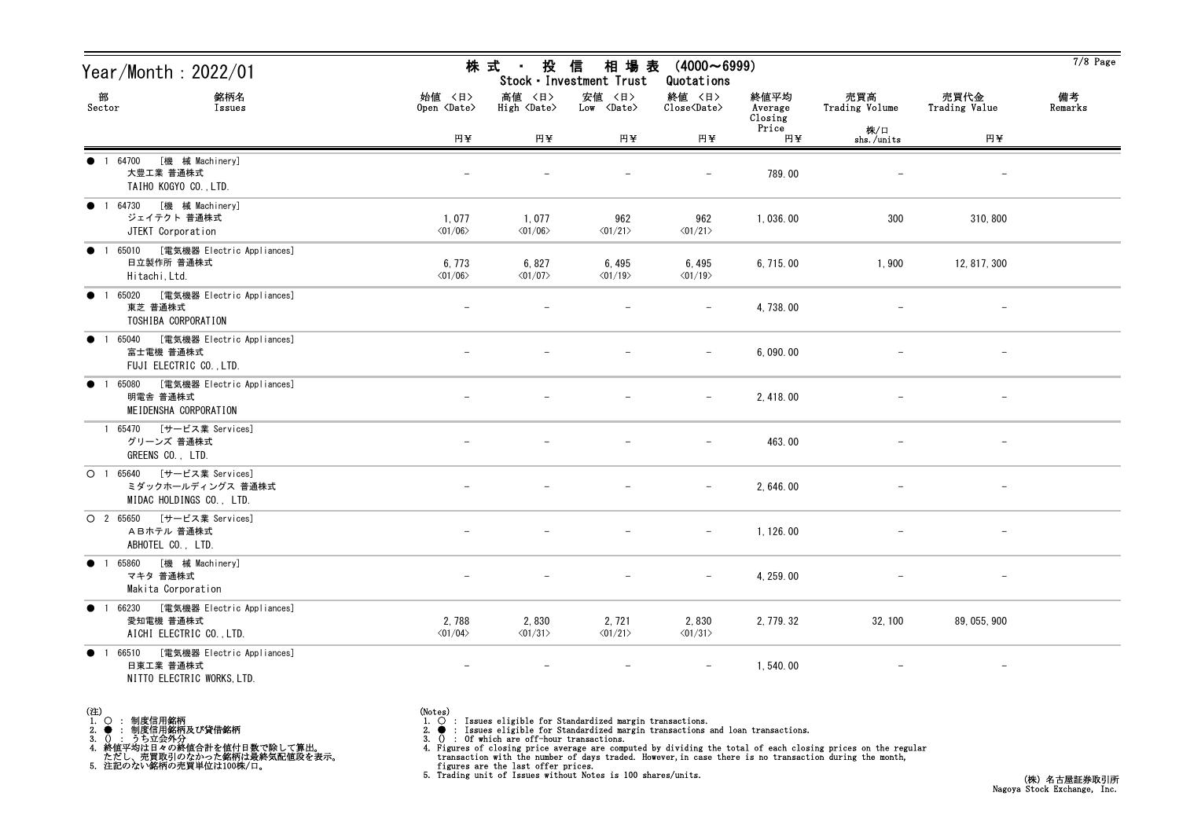| Year/Month : 2022/01                                                                          |                                   |                                       | 株式 ・ 投 信 相場表<br>Stock · Investment Trust   | $(4000 \sim 6999)$<br>Quotations                             |                            |                       |                          | $7/8$ Page    |
|-----------------------------------------------------------------------------------------------|-----------------------------------|---------------------------------------|--------------------------------------------|--------------------------------------------------------------|----------------------------|-----------------------|--------------------------|---------------|
| 部<br>銘柄名<br>Sector<br>Issues                                                                  | 始値 〈日〉<br>Open <date></date>      | 高値 〈日〉<br>$High \langle Date \rangle$ | 安値 〈日〉<br>$Low \over \langle Date \rangle$ | 終値 〈日〉<br>$\overline{\text{Close}}\langle\text{Date}\rangle$ | 終値平均<br>Average<br>Closing | 売買高<br>Trading Volume | 売買代金<br>Trading Value    | 備考<br>Remarks |
|                                                                                               | 円半                                | 円半                                    | 円半                                         | 円半                                                           | Price<br>円半                | 株/口<br>shs./units     | 円半                       |               |
| ● 1 64700<br>[機 械 Machinery]<br>大豊工業 普通株式<br>TAIHO KOGYO CO., LTD.                            |                                   |                                       |                                            | $\overline{\phantom{0}}$                                     | 789.00                     |                       | $\qquad \qquad -$        |               |
| ● 1 64730 [機 械 Machinery]<br>ジェイテクト 普通株式<br>JTEKT Corporation                                 | 1,077<br>$\langle 01/06 \rangle$  | 1,077<br>$\langle 01/06 \rangle$      | 962<br>$\langle 01/21 \rangle$             | 962<br>$\langle 01/21 \rangle$                               | 1,036.00                   | 300                   | 310, 800                 |               |
| ● 1 65010 [電気機器 Electric Appliances]<br>日立製作所 普通株式<br>Hitachi, Ltd.                           | 6, 773<br>$\langle 01/06 \rangle$ | 6,827<br>$\langle 01/07 \rangle$      | 6,495<br>$\langle 01/19 \rangle$           | 6,495<br>$\langle 01/19 \rangle$                             | 6, 715.00                  | 1,900                 | 12, 817, 300             |               |
| [電気機器 Electric Appliances]<br>● 1 65020<br>東芝 普通株式<br>TOSHIBA CORPORATION                     |                                   |                                       |                                            |                                                              | 4, 738.00                  |                       | $\overline{\phantom{m}}$ |               |
| ● 1 65040 [電気機器 Electric Appliances]<br>富士電機 普通株式<br>FUJI ELECTRIC CO., LTD.                  |                                   |                                       |                                            | $-$                                                          | 6,090.00                   |                       | $\overline{\phantom{m}}$ |               |
| ● 1 65080 [電気機器 Electric Appliances]<br>明電舎 普通株式<br>MEIDENSHA CORPORATION                     |                                   |                                       |                                            | $-$                                                          | 2, 418.00                  |                       | $-$                      |               |
| 1 65470 [サービス業 Services]<br>グリーンズ 普通株式<br>GREENS CO., LTD.                                    |                                   |                                       |                                            | $\qquad \qquad -$                                            | 463.00                     |                       | $\overline{\phantom{m}}$ |               |
| O 1 65640 [サービス業 Services]<br>ミダックホールディングス 普通株式<br>MIDAC HOLDINGS CO., LTD.                   |                                   |                                       |                                            | $\overline{\phantom{0}}$                                     | 2, 646.00                  |                       | $\overline{\phantom{m}}$ |               |
| O 2 65650 [サービス業 Services]<br>ABホテル 普通株式<br>ABHOTEL CO., LTD.                                 |                                   |                                       |                                            | $\overline{\phantom{m}}$                                     | 1, 126.00                  |                       | $-$                      |               |
| ● 1 65860 [機 械 Machinery]<br>マキタ 普通株式<br>Makita Corporation                                   |                                   |                                       |                                            | $\overline{\phantom{0}}$                                     | 4, 259.00                  |                       | $\overline{\phantom{m}}$ |               |
| [電気機器 Electric Appliances]<br>● 1 66230<br>愛知電機 普通株式<br>AICHI ELECTRIC CO., LTD.              | 2,788<br>$\langle 01/04 \rangle$  | 2,830<br>$\langle 01/31 \rangle$      | 2, 721<br>$\langle 01/21 \rangle$          | 2,830<br>$\langle 01/31 \rangle$                             | 2, 779. 32                 | 32, 100               | 89, 055, 900             |               |
| [電気機器 Electric Appliances]<br>66510<br>$\bullet$ 1<br>日東工業 普通株式<br>NITTO ELECTRIC WORKS, LTD. | $\overline{\phantom{m}}$          |                                       | $\overline{\phantom{a}}$                   | —                                                            | 1,540.00                   |                       | $\qquad \qquad -$        |               |

- (注)<br>1. ○<br>2. ●<br>3. ① 1. ○ : 制度信用銘柄
- 
- 2. : 制度信用銘柄及び貸借銘柄<br>3. () : うち立会外分<br>4. 終値平均は日々の終値合計を値付日数で除して算出。<br>ただし、売買取引のなかった銘柄は最終気配値段を表示。<br>5. 注記のない銘柄の売買単位は100株/口。

- (Notes)<br>1. : Issues eligible for Standardized margin transactions.
-